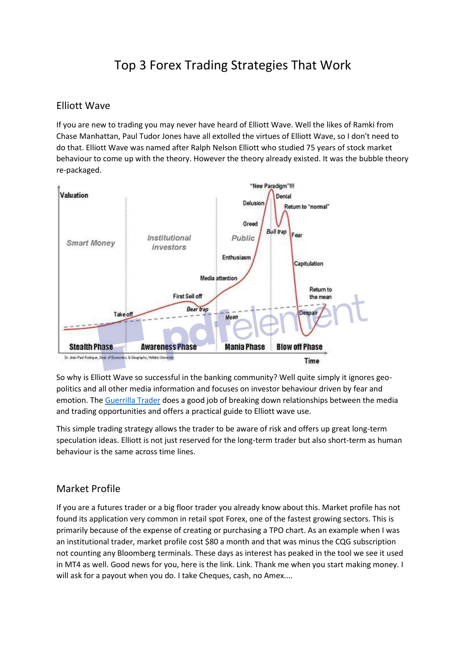## Top 3 Forex Trading Strategies That Work

## Elliott Wave

If you are new to trading you may never have heard of Elliott Wave. Well the likes of Ramki from Chase Manhattan, Paul Tudor Jones have all extolled the virtues of Elliott Wave, so I don't need to do that. Elliott Wave was named after Ralph Nelson Elliott who studied 75 years of stock market behaviour to come up with the theory. However the theory already existed. It was the bubble theory re-packaged.



So why is Elliott Wave so successful in the banking community? Well quite simply it ignores geopolitics and all other media information and focuses on investor behaviour driven by fear and emotion. The [Guerrilla Trader](https://www.amazon.co.uk/Guerrilla-Trader-Traders-Practical-Tracking-ebook/dp/B01C7B1TPE) does a good job of breaking down relationships between the media and trading opportunities and offers a practical guide to Elliott wave use.

This simple trading strategy allows the trader to be aware of risk and offers up great long-term speculation ideas. Elliott is not just reserved for the long-term trader but also short-term as human behaviour is the same across time lines.

## Market Profile

If you are a futures trader or a big floor trader you already know about this. Market profile has not found its application very common in retail spot Forex, one of the fastest growing sectors. This is primarily because of the expense of creating or purchasing a TPO chart. As an example when I was an institutional trader, market profile cost \$80 a month and that was minus the CQG subscription not counting any Bloomberg terminals. These days as interest has peaked in the tool we see it used in MT4 as well. Good news for you, here is the link. Link. Thank me when you start making money. I will ask for a payout when you do. I take Cheques, cash, no Amex....